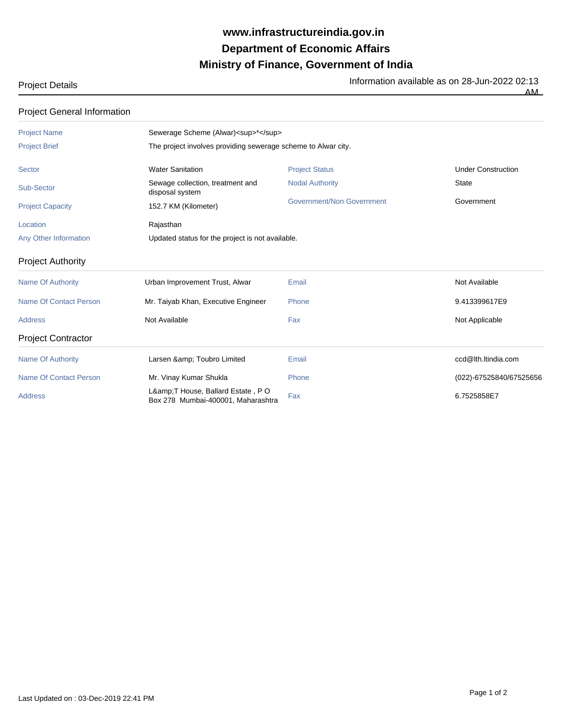## **Ministry of Finance, Government of India Department of Economic Affairs www.infrastructureindia.gov.in**

## Project Details **Information available as on 28-Jun-2022 02:13**

AM

| <b>Project General Information</b> |                                                                      |                           |                           |  |
|------------------------------------|----------------------------------------------------------------------|---------------------------|---------------------------|--|
| <b>Project Name</b>                | Sewerage Scheme (Alwar) <sup>*</sup>                                 |                           |                           |  |
| <b>Project Brief</b>               | The project involves providing sewerage scheme to Alwar city.        |                           |                           |  |
| <b>Sector</b>                      | <b>Water Sanitation</b>                                              | <b>Project Status</b>     | <b>Under Construction</b> |  |
| Sub-Sector                         | Sewage collection, treatment and<br>disposal system                  | <b>Nodal Authority</b>    | <b>State</b>              |  |
| <b>Project Capacity</b>            | 152.7 KM (Kilometer)                                                 | Government/Non Government | Government                |  |
| Location                           | Rajasthan                                                            |                           |                           |  |
| Any Other Information              | Updated status for the project is not available.                     |                           |                           |  |
| <b>Project Authority</b>           |                                                                      |                           |                           |  |
| <b>Name Of Authority</b>           | Urban Improvement Trust, Alwar                                       | Email                     | Not Available             |  |
| <b>Name Of Contact Person</b>      | Mr. Taiyab Khan, Executive Engineer                                  | Phone                     | 9.413399617E9             |  |
| <b>Address</b>                     | Not Available                                                        | Fax                       | Not Applicable            |  |
| <b>Project Contractor</b>          |                                                                      |                           |                           |  |
| <b>Name Of Authority</b>           | Larsen & Toubro Limited                                              | Email                     | ccd@lth.ltindia.com       |  |
| Name Of Contact Person             | Mr. Vinay Kumar Shukla                                               | Phone                     | (022)-67525840/67525656   |  |
| <b>Address</b>                     | L& T House, Ballard Estate, PO<br>Box 278 Mumbai-400001, Maharashtra | Fax                       | 6.7525858E7               |  |

Last Updated on : 03-Dec-2019 22:41 PM